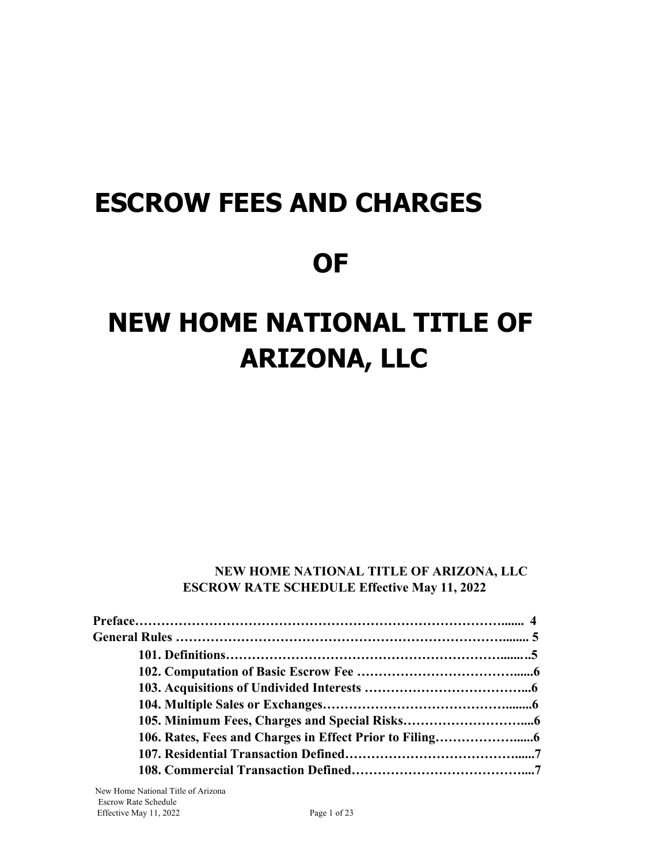# **ESCROW FEES AND CHARGES**

# **OF**

# **NEW HOME NATIONAL TITLE OF ARIZONA, LLC**

### **NEW HOME NATIONAL TITLE OF ARIZONA, LLC ESCROW RATE SCHEDULE Effective May 11, 2022**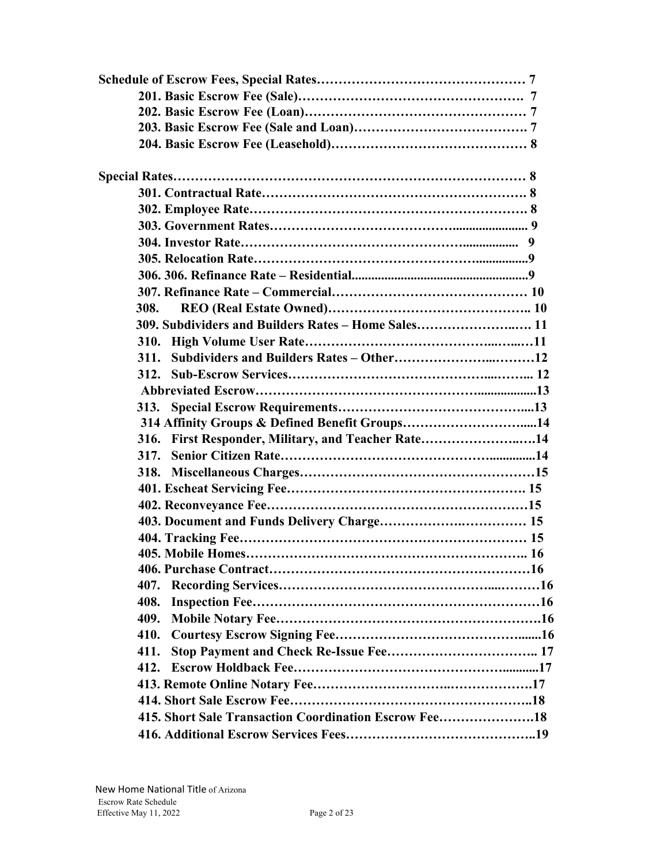| 308.                                                  |
|-------------------------------------------------------|
| 309. Subdividers and Builders Rates - Home Sales 11   |
|                                                       |
| 311.                                                  |
| 312.                                                  |
|                                                       |
| 313.                                                  |
| 314 Affinity Groups & Defined Benefit Groups14        |
| First Responder, Military, and Teacher Rate14<br>316. |
| 317.                                                  |
| 318.                                                  |
|                                                       |
|                                                       |
|                                                       |
|                                                       |
|                                                       |
|                                                       |
| 407.                                                  |
| 408.                                                  |
| 409.                                                  |
| 410.                                                  |
| 411.                                                  |
| 412.                                                  |
|                                                       |
|                                                       |
| 415. Short Sale Transaction Coordination Escrow Fee18 |
|                                                       |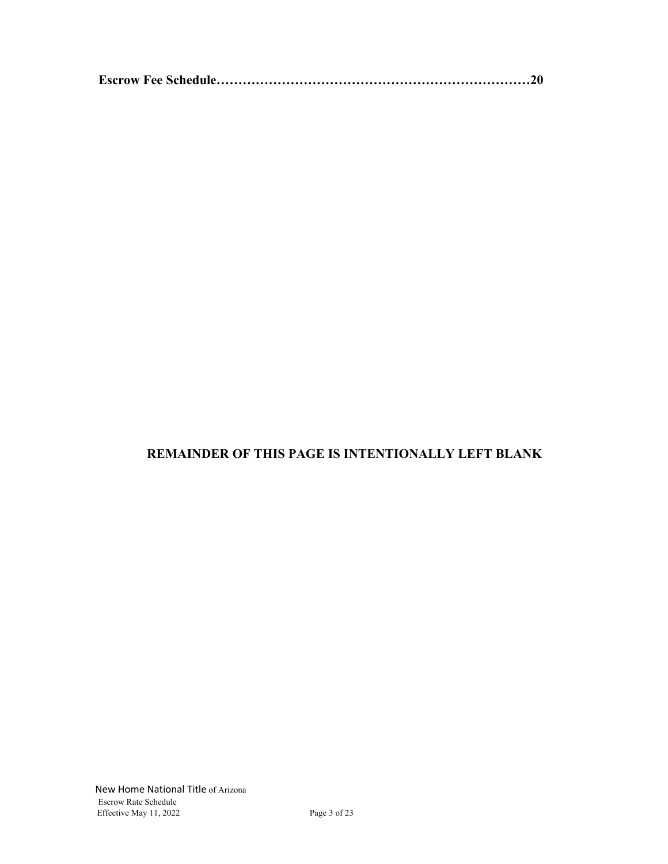|--|--|--|--|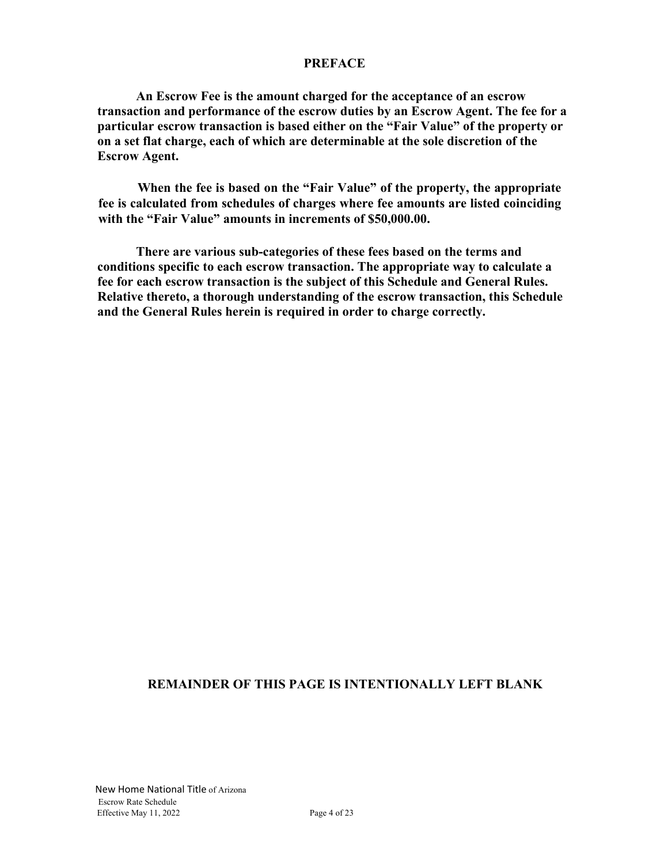#### **PREFACE**

**An Escrow Fee is the amount charged for the acceptance of an escrow transaction and performance of the escrow duties by an Escrow Agent. The fee for a particular escrow transaction is based either on the "Fair Value" of the property or on a set flat charge, each of which are determinable at the sole discretion of the Escrow Agent.**

**When the fee is based on the "Fair Value" of the property, the appropriate fee is calculated from schedules of charges where fee amounts are listed coinciding with the "Fair Value" amounts in increments of \$50,000.00.**

**There are various sub-categories of these fees based on the terms and conditions specific to each escrow transaction. The appropriate way to calculate a fee for each escrow transaction is the subject of this Schedule and General Rules. Relative thereto, a thorough understanding of the escrow transaction, this Schedule and the General Rules herein is required in order to charge correctly.**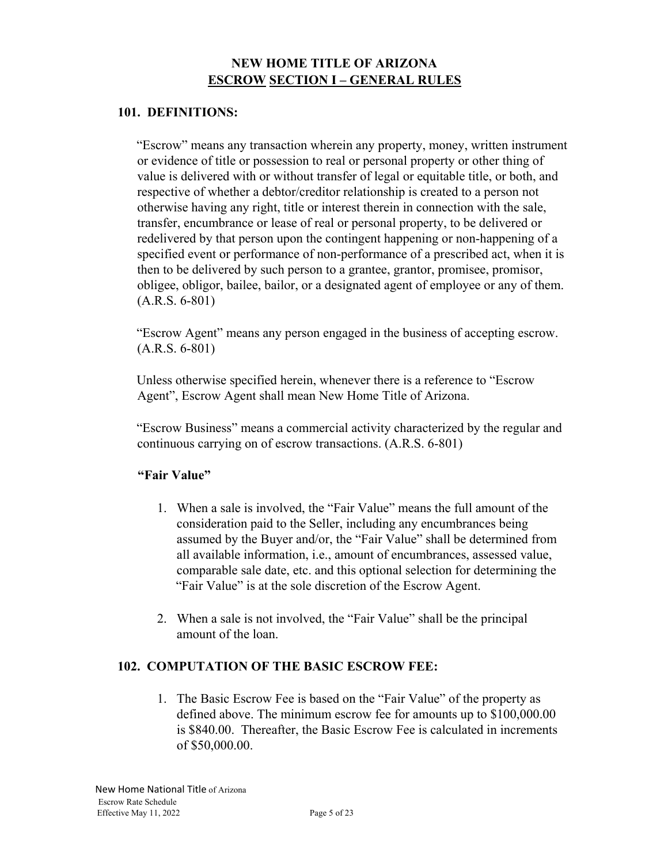# **NEW HOME TITLE OF ARIZONA ESCROW SECTION I – GENERAL RULES**

#### **101. DEFINITIONS:**

"Escrow" means any transaction wherein any property, money, written instrument or evidence of title or possession to real or personal property or other thing of value is delivered with or without transfer of legal or equitable title, or both, and respective of whether a debtor/creditor relationship is created to a person not otherwise having any right, title or interest therein in connection with the sale, transfer, encumbrance or lease of real or personal property, to be delivered or redelivered by that person upon the contingent happening or non-happening of a specified event or performance of non-performance of a prescribed act, when it is then to be delivered by such person to a grantee, grantor, promisee, promisor, obligee, obligor, bailee, bailor, or a designated agent of employee or any of them. (A.R.S. 6-801)

"Escrow Agent" means any person engaged in the business of accepting escrow. (A.R.S. 6-801)

Unless otherwise specified herein, whenever there is a reference to "Escrow Agent", Escrow Agent shall mean New Home Title of Arizona.

"Escrow Business" means a commercial activity characterized by the regular and continuous carrying on of escrow transactions. (A.R.S. 6-801)

#### **"Fair Value"**

- 1. When a sale is involved, the "Fair Value" means the full amount of the consideration paid to the Seller, including any encumbrances being assumed by the Buyer and/or, the "Fair Value" shall be determined from all available information, i.e., amount of encumbrances, assessed value, comparable sale date, etc. and this optional selection for determining the "Fair Value" is at the sole discretion of the Escrow Agent.
- 2. When a sale is not involved, the "Fair Value" shall be the principal amount of the loan.

#### **102. COMPUTATION OF THE BASIC ESCROW FEE:**

1. The Basic Escrow Fee is based on the "Fair Value" of the property as defined above. The minimum escrow fee for amounts up to \$100,000.00 is \$840.00. Thereafter, the Basic Escrow Fee is calculated in increments of \$50,000.00.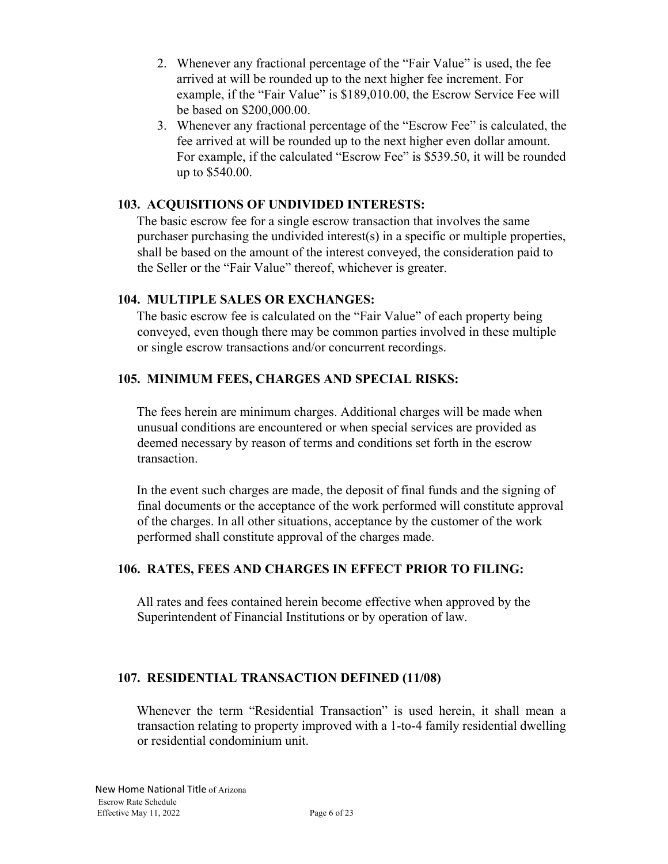- 2. Whenever any fractional percentage of the "Fair Value" is used, the fee arrived at will be rounded up to the next higher fee increment. For example, if the "Fair Value" is \$189,010.00, the Escrow Service Fee will be based on \$200,000.00.
- 3. Whenever any fractional percentage of the "Escrow Fee" is calculated, the fee arrived at will be rounded up to the next higher even dollar amount. For example, if the calculated "Escrow Fee" is \$539.50, it will be rounded up to \$540.00.

#### **103. ACQUISITIONS OF UNDIVIDED INTERESTS:**

The basic escrow fee for a single escrow transaction that involves the same purchaser purchasing the undivided interest(s) in a specific or multiple properties, shall be based on the amount of the interest conveyed, the consideration paid to the Seller or the "Fair Value" thereof, whichever is greater.

#### **104. MULTIPLE SALES OR EXCHANGES:**

The basic escrow fee is calculated on the "Fair Value" of each property being conveyed, even though there may be common parties involved in these multiple or single escrow transactions and/or concurrent recordings.

#### **105. MINIMUM FEES, CHARGES AND SPECIAL RISKS:**

The fees herein are minimum charges. Additional charges will be made when unusual conditions are encountered or when special services are provided as deemed necessary by reason of terms and conditions set forth in the escrow transaction.

In the event such charges are made, the deposit of final funds and the signing of final documents or the acceptance of the work performed will constitute approval of the charges. In all other situations, acceptance by the customer of the work performed shall constitute approval of the charges made.

#### **106. RATES, FEES AND CHARGES IN EFFECT PRIOR TO FILING:**

All rates and fees contained herein become effective when approved by the Superintendent of Financial Institutions or by operation of law.

#### **107. RESIDENTIAL TRANSACTION DEFINED (11/08)**

Whenever the term "Residential Transaction" is used herein, it shall mean a transaction relating to property improved with a 1-to-4 family residential dwelling or residential condominium unit.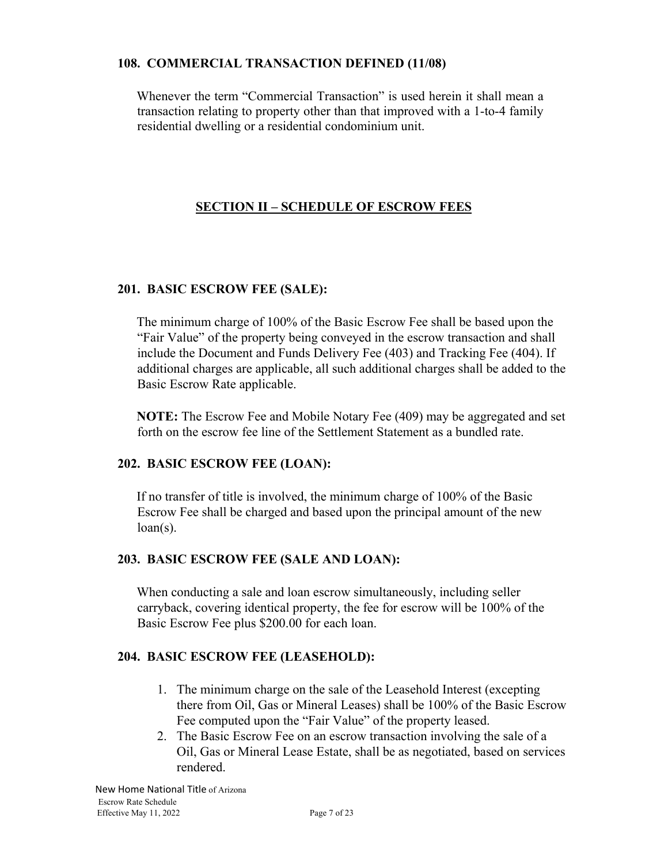#### **108. COMMERCIAL TRANSACTION DEFINED (11/08)**

Whenever the term "Commercial Transaction" is used herein it shall mean a transaction relating to property other than that improved with a 1-to-4 family residential dwelling or a residential condominium unit.

# **SECTION II – SCHEDULE OF ESCROW FEES**

#### **201. BASIC ESCROW FEE (SALE):**

The minimum charge of 100% of the Basic Escrow Fee shall be based upon the "Fair Value" of the property being conveyed in the escrow transaction and shall include the Document and Funds Delivery Fee (403) and Tracking Fee (404). If additional charges are applicable, all such additional charges shall be added to the Basic Escrow Rate applicable.

**NOTE:** The Escrow Fee and Mobile Notary Fee (409) may be aggregated and set forth on the escrow fee line of the Settlement Statement as a bundled rate.

#### **202. BASIC ESCROW FEE (LOAN):**

If no transfer of title is involved, the minimum charge of 100% of the Basic Escrow Fee shall be charged and based upon the principal amount of the new  $loan(s)$ .

#### **203. BASIC ESCROW FEE (SALE AND LOAN):**

When conducting a sale and loan escrow simultaneously, including seller carryback, covering identical property, the fee for escrow will be 100% of the Basic Escrow Fee plus \$200.00 for each loan.

#### **204. BASIC ESCROW FEE (LEASEHOLD):**

- 1. The minimum charge on the sale of the Leasehold Interest (excepting there from Oil, Gas or Mineral Leases) shall be 100% of the Basic Escrow Fee computed upon the "Fair Value" of the property leased.
- 2. The Basic Escrow Fee on an escrow transaction involving the sale of a Oil, Gas or Mineral Lease Estate, shall be as negotiated, based on services rendered.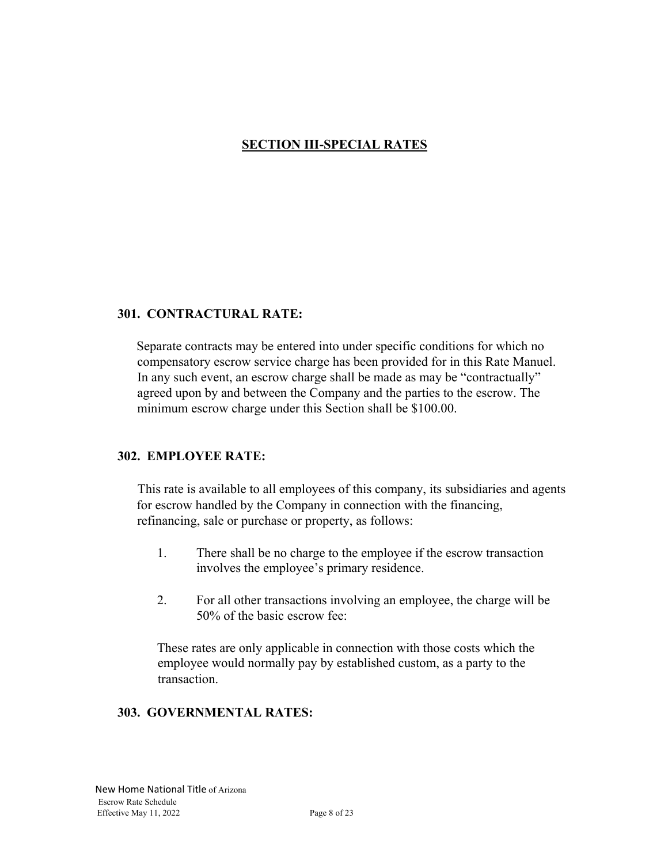# **SECTION III-SPECIAL RATES**

#### **301. CONTRACTURAL RATE:**

Separate contracts may be entered into under specific conditions for which no compensatory escrow service charge has been provided for in this Rate Manuel. In any such event, an escrow charge shall be made as may be "contractually" agreed upon by and between the Company and the parties to the escrow. The minimum escrow charge under this Section shall be \$100.00.

#### **302. EMPLOYEE RATE:**

This rate is available to all employees of this company, its subsidiaries and agents for escrow handled by the Company in connection with the financing, refinancing, sale or purchase or property, as follows:

- 1. There shall be no charge to the employee if the escrow transaction involves the employee's primary residence.
- 2. For all other transactions involving an employee, the charge will be 50% of the basic escrow fee:

These rates are only applicable in connection with those costs which the employee would normally pay by established custom, as a party to the transaction.

#### **303. GOVERNMENTAL RATES:**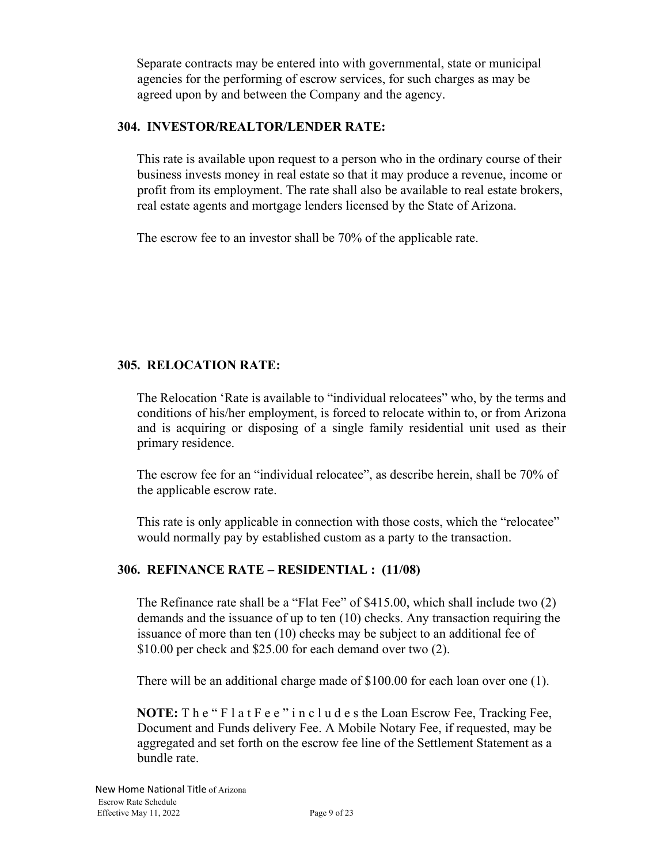Separate contracts may be entered into with governmental, state or municipal agencies for the performing of escrow services, for such charges as may be agreed upon by and between the Company and the agency.

# **304. INVESTOR/REALTOR/LENDER RATE:**

This rate is available upon request to a person who in the ordinary course of their business invests money in real estate so that it may produce a revenue, income or profit from its employment. The rate shall also be available to real estate brokers, real estate agents and mortgage lenders licensed by the State of Arizona.

The escrow fee to an investor shall be 70% of the applicable rate.

# **305. RELOCATION RATE:**

The Relocation 'Rate is available to "individual relocatees" who, by the terms and conditions of his/her employment, is forced to relocate within to, or from Arizona and is acquiring or disposing of a single family residential unit used as their primary residence.

The escrow fee for an "individual relocatee", as describe herein, shall be 70% of the applicable escrow rate.

This rate is only applicable in connection with those costs, which the "relocatee" would normally pay by established custom as a party to the transaction.

#### **306. REFINANCE RATE – RESIDENTIAL : (11/08)**

The Refinance rate shall be a "Flat Fee" of \$415.00, which shall include two (2) demands and the issuance of up to ten (10) checks. Any transaction requiring the issuance of more than ten (10) checks may be subject to an additional fee of \$10.00 per check and \$25.00 for each demand over two (2).

There will be an additional charge made of \$100.00 for each loan over one (1).

**NOTE:** T h e " F l a t F e e " i n c l u d e s the Loan Escrow Fee, Tracking Fee, Document and Funds delivery Fee. A Mobile Notary Fee, if requested, may be aggregated and set forth on the escrow fee line of the Settlement Statement as a bundle rate.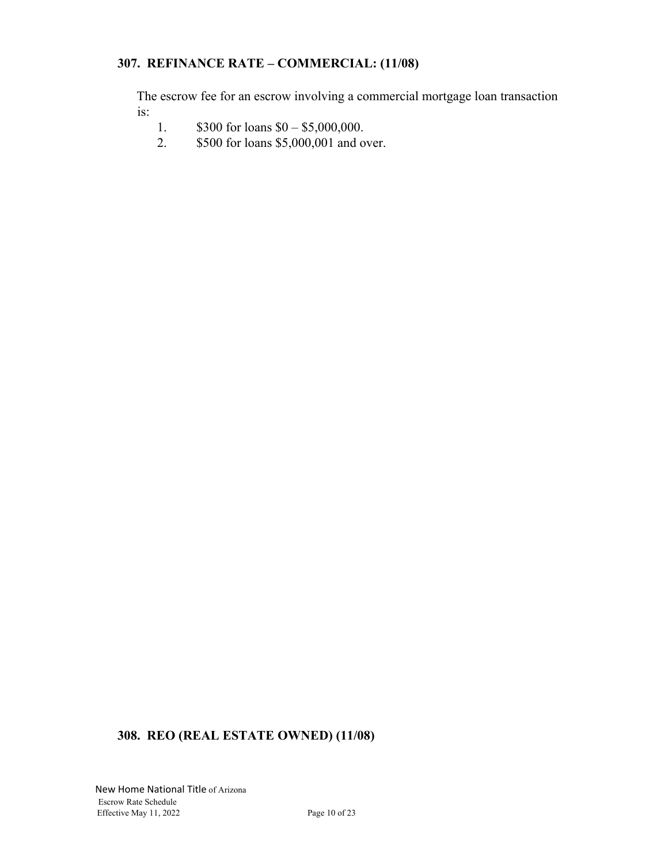# **307. REFINANCE RATE – COMMERCIAL: (11/08)**

The escrow fee for an escrow involving a commercial mortgage loan transaction is:

- 1.  $$300$  for loans  $$0 $5,000,000$ .
- 2. \$500 for loans \$5,000,001 and over.

# **308. REO (REAL ESTATE OWNED) (11/08)**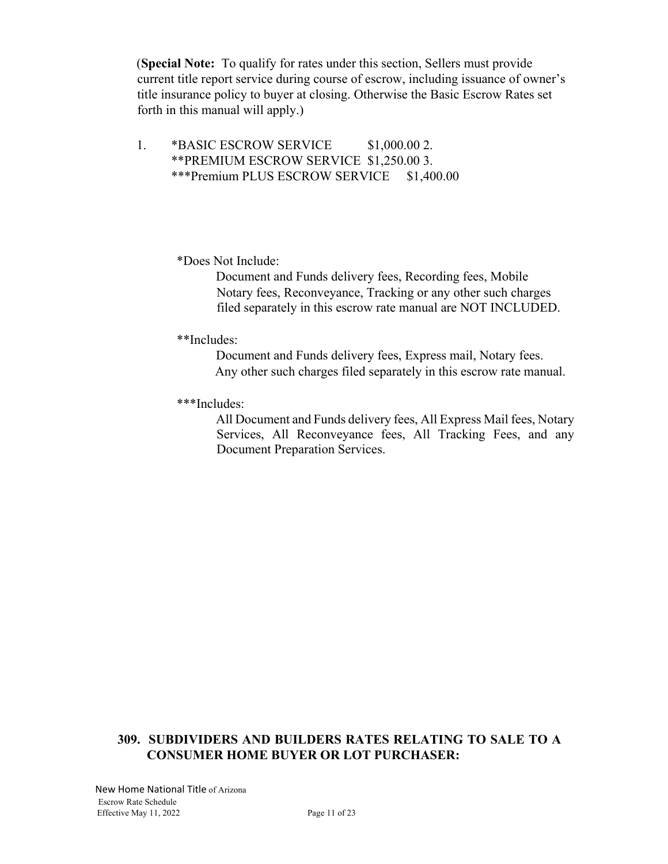(**Special Note:** To qualify for rates under this section, Sellers must provide current title report service during course of escrow, including issuance of owner's title insurance policy to buyer at closing. Otherwise the Basic Escrow Rates set forth in this manual will apply.)

1. \*BASIC ESCROW SERVICE \$1,000.00 2. \*\*PREMIUM ESCROW SERVICE \$1,250.00 3. \*\*\*Premium PLUS ESCROW SERVICE \$1,400.00

\*Does Not Include:

Document and Funds delivery fees, Recording fees, Mobile Notary fees, Reconveyance, Tracking or any other such charges filed separately in this escrow rate manual are NOT INCLUDED.

\*\*Includes:

Document and Funds delivery fees, Express mail, Notary fees. Any other such charges filed separately in this escrow rate manual.

\*\*\*Includes:

All Document and Funds delivery fees, All Express Mail fees, Notary Services, All Reconveyance fees, All Tracking Fees, and any Document Preparation Services.

#### **309. SUBDIVIDERS AND BUILDERS RATES RELATING TO SALE TO A CONSUMER HOME BUYER OR LOT PURCHASER:**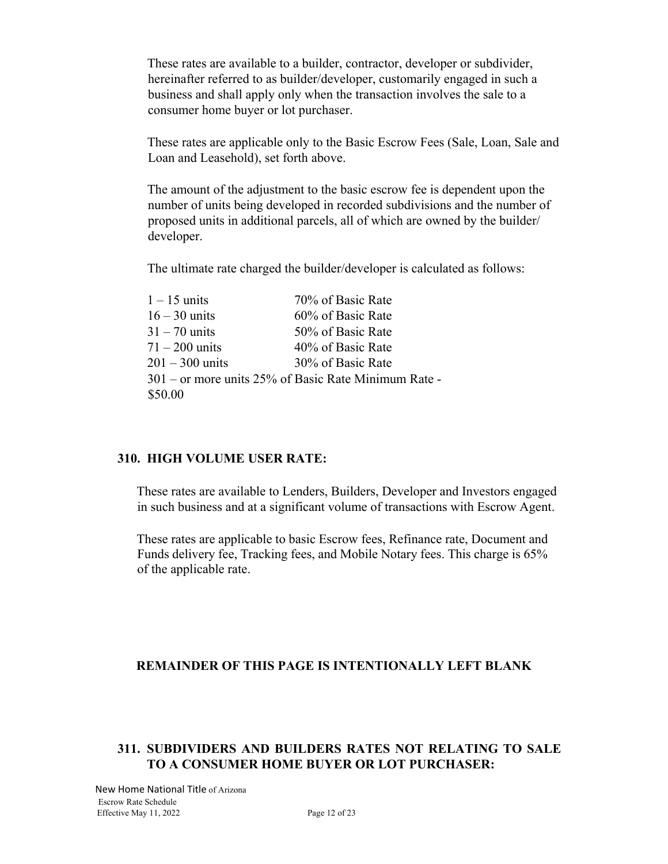These rates are available to a builder, contractor, developer or subdivider, hereinafter referred to as builder/developer, customarily engaged in such a business and shall apply only when the transaction involves the sale to a consumer home buyer or lot purchaser.

These rates are applicable only to the Basic Escrow Fees (Sale, Loan, Sale and Loan and Leasehold), set forth above.

The amount of the adjustment to the basic escrow fee is dependent upon the number of units being developed in recorded subdivisions and the number of proposed units in additional parcels, all of which are owned by the builder/ developer.

The ultimate rate charged the builder/developer is calculated as follows:

| $1 - 15$ units    | 70% of Basic Rate                                    |
|-------------------|------------------------------------------------------|
| $16 - 30$ units   | 60% of Basic Rate                                    |
| $31 - 70$ units   | 50% of Basic Rate                                    |
| $71 - 200$ units  | 40% of Basic Rate                                    |
| $201 - 300$ units | 30% of Basic Rate                                    |
|                   | 301 – or more units 25% of Basic Rate Minimum Rate - |
| \$50.00           |                                                      |
|                   |                                                      |

#### **310. HIGH VOLUME USER RATE:**

These rates are available to Lenders, Builders, Developer and Investors engaged in such business and at a significant volume of transactions with Escrow Agent.

These rates are applicable to basic Escrow fees, Refinance rate, Document and Funds delivery fee, Tracking fees, and Mobile Notary fees. This charge is 65% of the applicable rate.

#### **REMAINDER OF THIS PAGE IS INTENTIONALLY LEFT BLANK**

#### **311. SUBDIVIDERS AND BUILDERS RATES NOT RELATING TO SALE TO A CONSUMER HOME BUYER OR LOT PURCHASER:**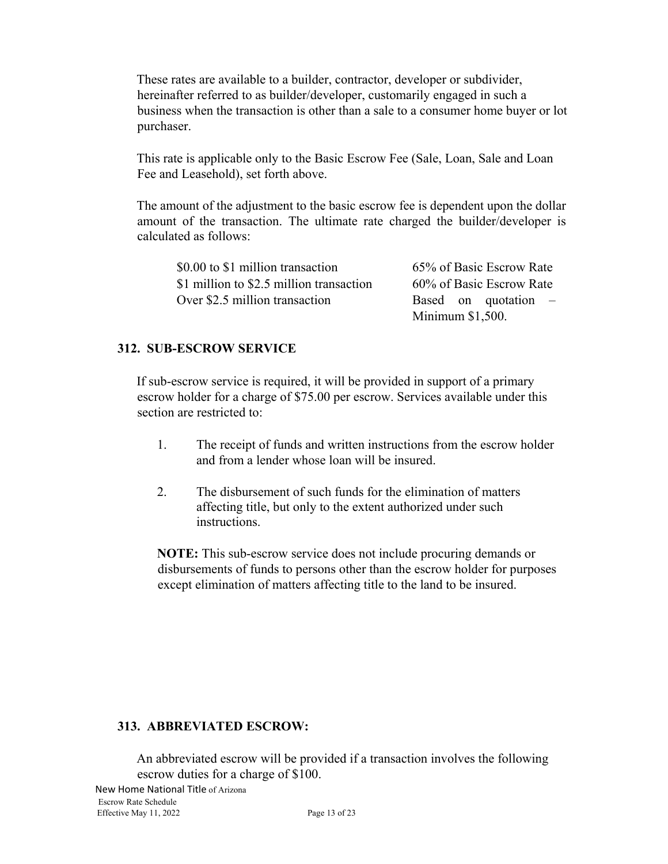These rates are available to a builder, contractor, developer or subdivider, hereinafter referred to as builder/developer, customarily engaged in such a business when the transaction is other than a sale to a consumer home buyer or lot purchaser.

This rate is applicable only to the Basic Escrow Fee (Sale, Loan, Sale and Loan Fee and Leasehold), set forth above.

The amount of the adjustment to the basic escrow fee is dependent upon the dollar amount of the transaction. The ultimate rate charged the builder/developer is calculated as follows:

| \$0.00 to \$1 million transaction        | 65% of Basic Escrow Rate |
|------------------------------------------|--------------------------|
| \$1 million to \$2.5 million transaction | 60% of Basic Escrow Rate |
| Over \$2.5 million transaction           | Based on quotation $-$   |
|                                          | Minimum $$1,500$ .       |

#### **312. SUB-ESCROW SERVICE**

If sub-escrow service is required, it will be provided in support of a primary escrow holder for a charge of \$75.00 per escrow. Services available under this section are restricted to:

- 1. The receipt of funds and written instructions from the escrow holder and from a lender whose loan will be insured.
- 2. The disbursement of such funds for the elimination of matters affecting title, but only to the extent authorized under such instructions.

**NOTE:** This sub-escrow service does not include procuring demands or disbursements of funds to persons other than the escrow holder for purposes except elimination of matters affecting title to the land to be insured.

#### **313. ABBREVIATED ESCROW:**

An abbreviated escrow will be provided if a transaction involves the following escrow duties for a charge of \$100.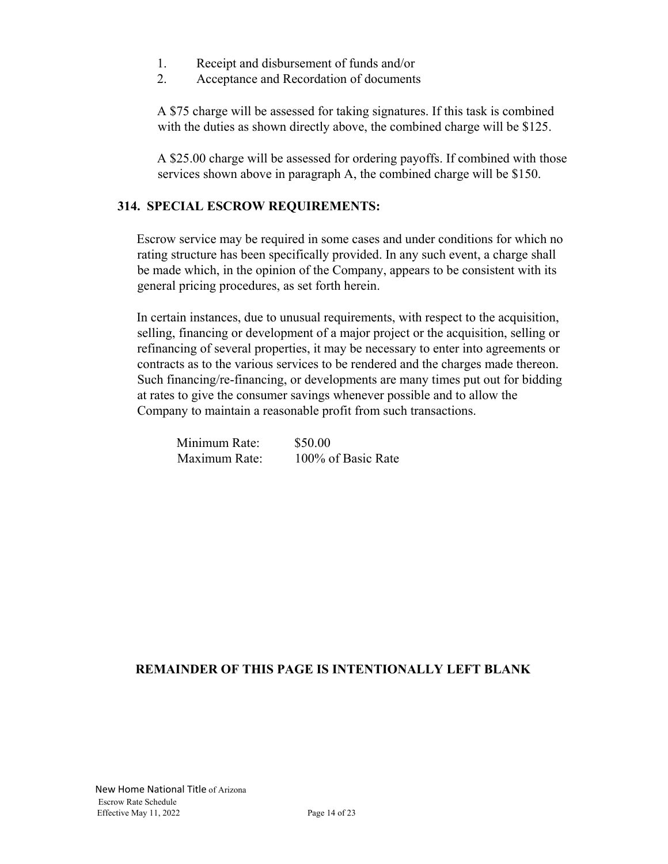- 1. Receipt and disbursement of funds and/or
- 2. Acceptance and Recordation of documents

A \$75 charge will be assessed for taking signatures. If this task is combined with the duties as shown directly above, the combined charge will be \$125.

A \$25.00 charge will be assessed for ordering payoffs. If combined with those services shown above in paragraph A, the combined charge will be \$150.

#### **314. SPECIAL ESCROW REQUIREMENTS:**

Escrow service may be required in some cases and under conditions for which no rating structure has been specifically provided. In any such event, a charge shall be made which, in the opinion of the Company, appears to be consistent with its general pricing procedures, as set forth herein.

In certain instances, due to unusual requirements, with respect to the acquisition, selling, financing or development of a major project or the acquisition, selling or refinancing of several properties, it may be necessary to enter into agreements or contracts as to the various services to be rendered and the charges made thereon. Such financing/re-financing, or developments are many times put out for bidding at rates to give the consumer savings whenever possible and to allow the Company to maintain a reasonable profit from such transactions.

| Minimum Rate: | \$50.00            |
|---------------|--------------------|
| Maximum Rate: | 100% of Basic Rate |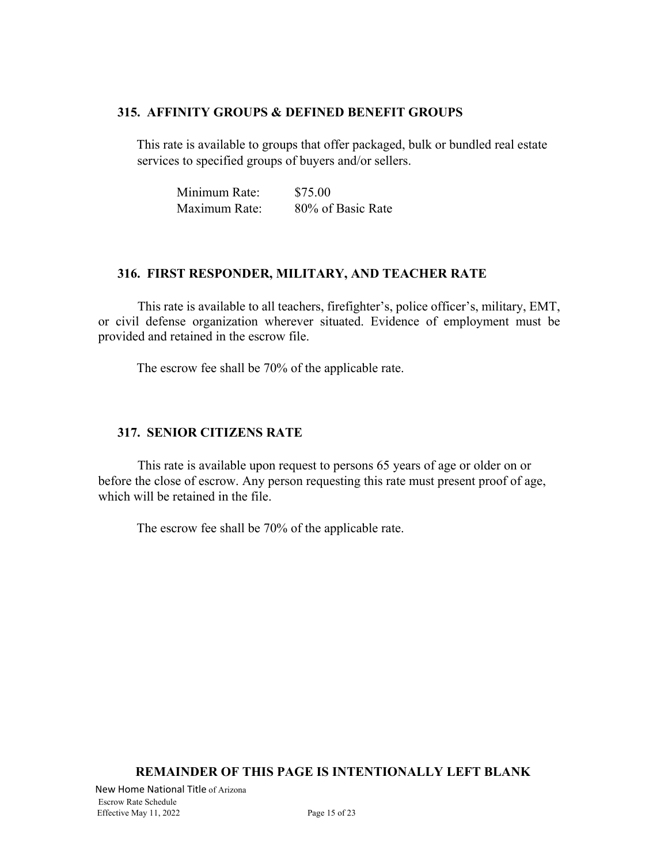#### **315. AFFINITY GROUPS & DEFINED BENEFIT GROUPS**

This rate is available to groups that offer packaged, bulk or bundled real estate services to specified groups of buyers and/or sellers.

| Minimum Rate: | \$75.00           |
|---------------|-------------------|
| Maximum Rate: | 80% of Basic Rate |

#### **316. FIRST RESPONDER, MILITARY, AND TEACHER RATE**

This rate is available to all teachers, firefighter's, police officer's, military, EMT, or civil defense organization wherever situated. Evidence of employment must be provided and retained in the escrow file.

The escrow fee shall be 70% of the applicable rate.

#### **317. SENIOR CITIZENS RATE**

This rate is available upon request to persons 65 years of age or older on or before the close of escrow. Any person requesting this rate must present proof of age, which will be retained in the file.

The escrow fee shall be 70% of the applicable rate.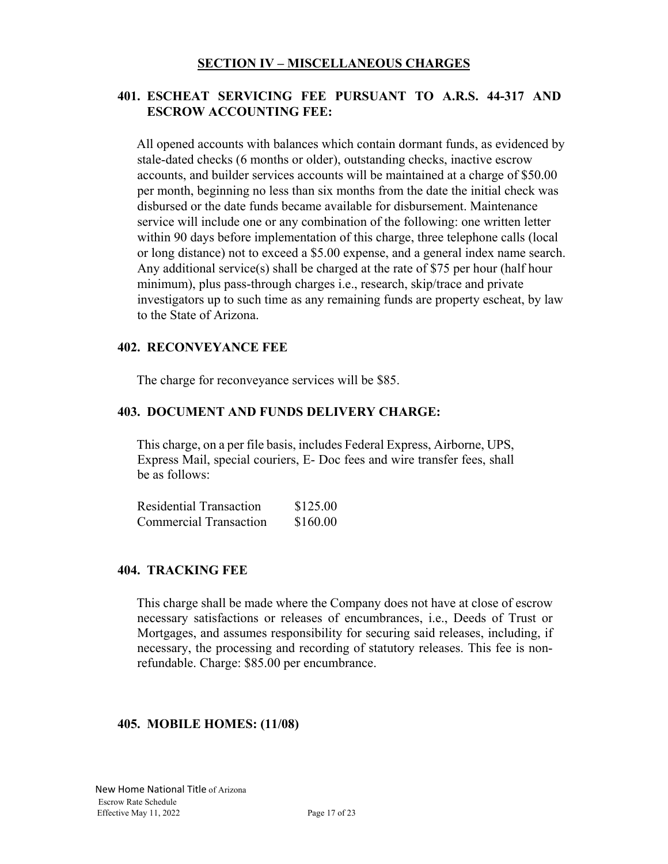#### **401. ESCHEAT SERVICING FEE PURSUANT TO A.R.S. 44-317 AND ESCROW ACCOUNTING FEE:**

All opened accounts with balances which contain dormant funds, as evidenced by stale-dated checks (6 months or older), outstanding checks, inactive escrow accounts, and builder services accounts will be maintained at a charge of \$50.00 per month, beginning no less than six months from the date the initial check was disbursed or the date funds became available for disbursement. Maintenance service will include one or any combination of the following: one written letter within 90 days before implementation of this charge, three telephone calls (local or long distance) not to exceed a \$5.00 expense, and a general index name search. Any additional service(s) shall be charged at the rate of \$75 per hour (half hour minimum), plus pass-through charges i.e., research, skip/trace and private investigators up to such time as any remaining funds are property escheat, by law to the State of Arizona.

#### **402. RECONVEYANCE FEE**

The charge for reconveyance services will be \$85.

#### **403. DOCUMENT AND FUNDS DELIVERY CHARGE:**

This charge, on a per file basis, includes Federal Express, Airborne, UPS, Express Mail, special couriers, E- Doc fees and wire transfer fees, shall be as follows:

| Residential Transaction       | \$125.00 |
|-------------------------------|----------|
| <b>Commercial Transaction</b> | \$160.00 |

#### **404. TRACKING FEE**

This charge shall be made where the Company does not have at close of escrow necessary satisfactions or releases of encumbrances, i.e., Deeds of Trust or Mortgages, and assumes responsibility for securing said releases, including, if necessary, the processing and recording of statutory releases. This fee is nonrefundable. Charge: \$85.00 per encumbrance.

#### **405. MOBILE HOMES: (11/08)**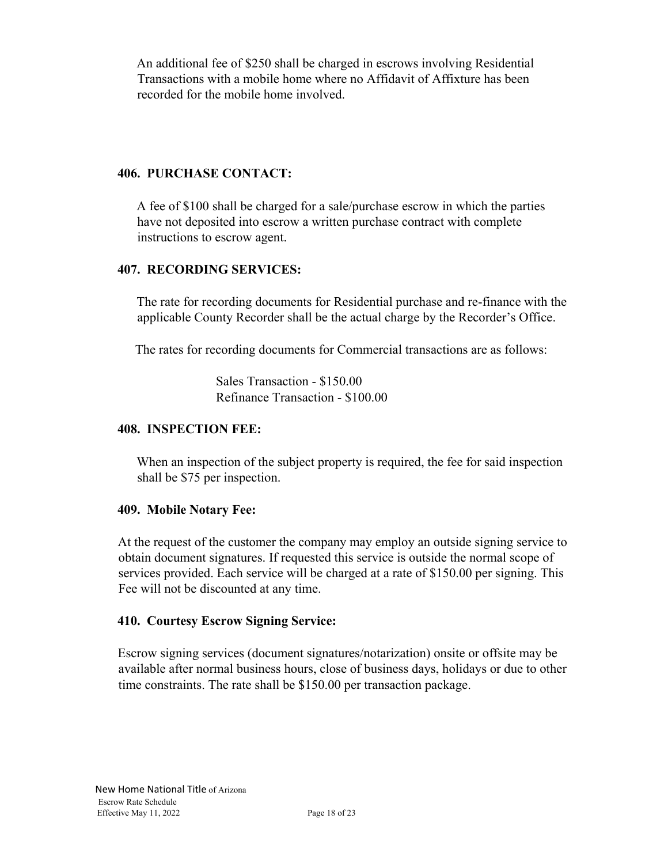An additional fee of \$250 shall be charged in escrows involving Residential Transactions with a mobile home where no Affidavit of Affixture has been recorded for the mobile home involved.

#### **406. PURCHASE CONTACT:**

A fee of \$100 shall be charged for a sale/purchase escrow in which the parties have not deposited into escrow a written purchase contract with complete instructions to escrow agent.

#### **407. RECORDING SERVICES:**

The rate for recording documents for Residential purchase and re-finance with the applicable County Recorder shall be the actual charge by the Recorder's Office.

The rates for recording documents for Commercial transactions are as follows:

Sales Transaction - \$150.00 Refinance Transaction - \$100.00

#### **408. INSPECTION FEE:**

When an inspection of the subject property is required, the fee for said inspection shall be \$75 per inspection.

#### **409. Mobile Notary Fee:**

At the request of the customer the company may employ an outside signing service to obtain document signatures. If requested this service is outside the normal scope of services provided. Each service will be charged at a rate of \$150.00 per signing. This Fee will not be discounted at any time.

#### **410. Courtesy Escrow Signing Service:**

Escrow signing services (document signatures/notarization) onsite or offsite may be available after normal business hours, close of business days, holidays or due to other time constraints. The rate shall be \$150.00 per transaction package.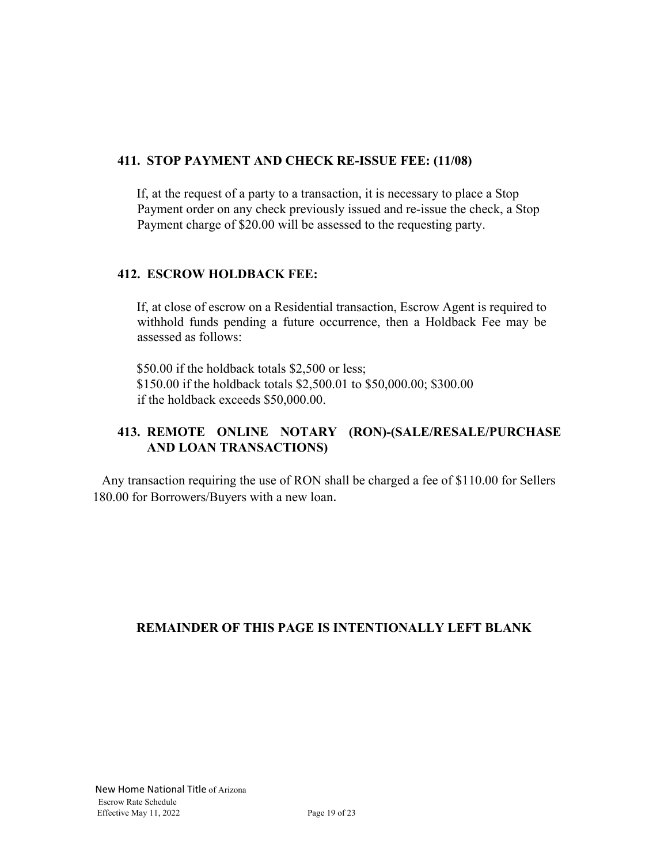#### **411. STOP PAYMENT AND CHECK RE-ISSUE FEE: (11/08)**

If, at the request of a party to a transaction, it is necessary to place a Stop Payment order on any check previously issued and re-issue the check, a Stop Payment charge of \$20.00 will be assessed to the requesting party.

#### **412. ESCROW HOLDBACK FEE:**

If, at close of escrow on a Residential transaction, Escrow Agent is required to withhold funds pending a future occurrence, then a Holdback Fee may be assessed as follows:

\$50.00 if the holdback totals \$2,500 or less; \$150.00 if the holdback totals \$2,500.01 to \$50,000.00; \$300.00 if the holdback exceeds \$50,000.00.

# **413. REMOTE ONLINE NOTARY (RON)-(SALE/RESALE/PURCHASE AND LOAN TRANSACTIONS)**

 Any transaction requiring the use of RON shall be charged a fee of \$110.00 for Sellers 180.00 for Borrowers/Buyers with a new loan.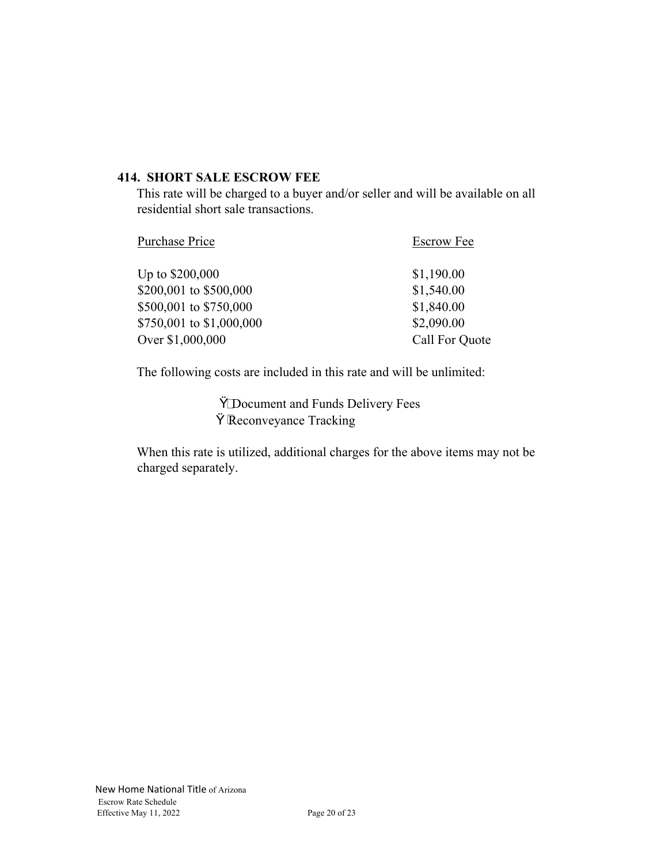#### **414. SHORT SALE ESCROW FEE**

This rate will be charged to a buyer and/or seller and will be available on all residential short sale transactions.

| Purchase Price           | <b>Escrow Fee</b> |
|--------------------------|-------------------|
| Up to \$200,000          | \$1,190.00        |
| \$200,001 to \$500,000   | \$1,540.00        |
| \$500,001 to \$750,000   | \$1,840.00        |
| \$750,001 to \$1,000,000 | \$2,090.00        |
| Over \$1,000,000         | Call For Quote    |

The following costs are included in this rate and will be unlimited:

Ÿ\_Document and Funds Delivery Fees Ÿ Reconveyance Tracking

When this rate is utilized, additional charges for the above items may not be charged separately.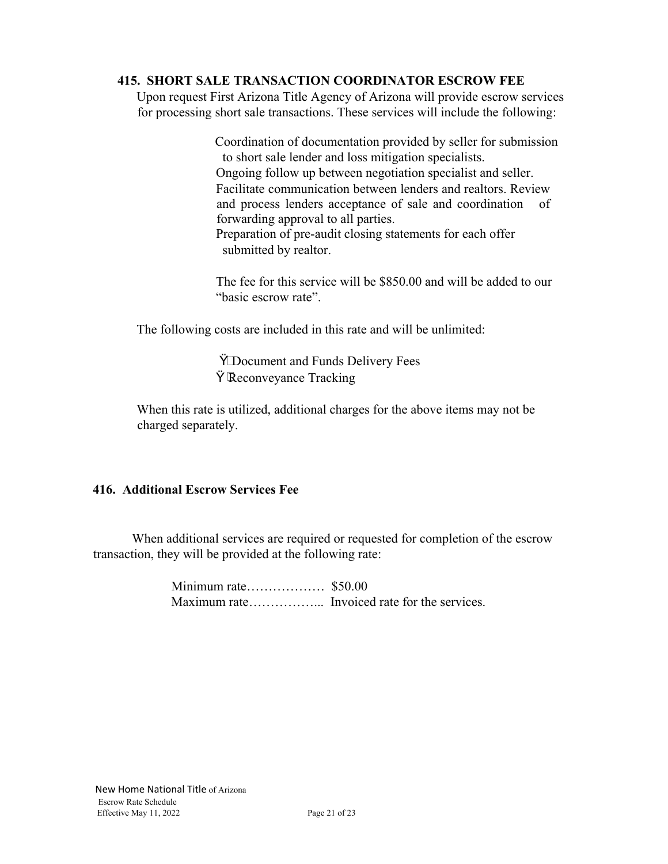#### **415. SHORT SALE TRANSACTION COORDINATOR ESCROW FEE**

Upon request First Arizona Title Agency of Arizona will provide escrow services for processing short sale transactions. These services will include the following:

> Coordination of documentation provided by seller for submission to short sale lender and loss mitigation specialists. Ongoing follow up between negotiation specialist and seller. Facilitate communication between lenders and realtors. Review and process lenders acceptance of sale and coordination of forwarding approval to all parties. Preparation of pre-audit closing statements for each offer submitted by realtor.

The fee for this service will be \$850.00 and will be added to our "basic escrow rate".

The following costs are included in this rate and will be unlimited:

ŸDocument and Funds Delivery Fees Ÿ Reconveyance Tracking

When this rate is utilized, additional charges for the above items may not be charged separately.

#### **416. Additional Escrow Services Fee**

 When additional services are required or requested for completion of the escrow transaction, they will be provided at the following rate:

> Minimum rate……………… \$50.00 Maximum rate……………... Invoiced rate for the services.